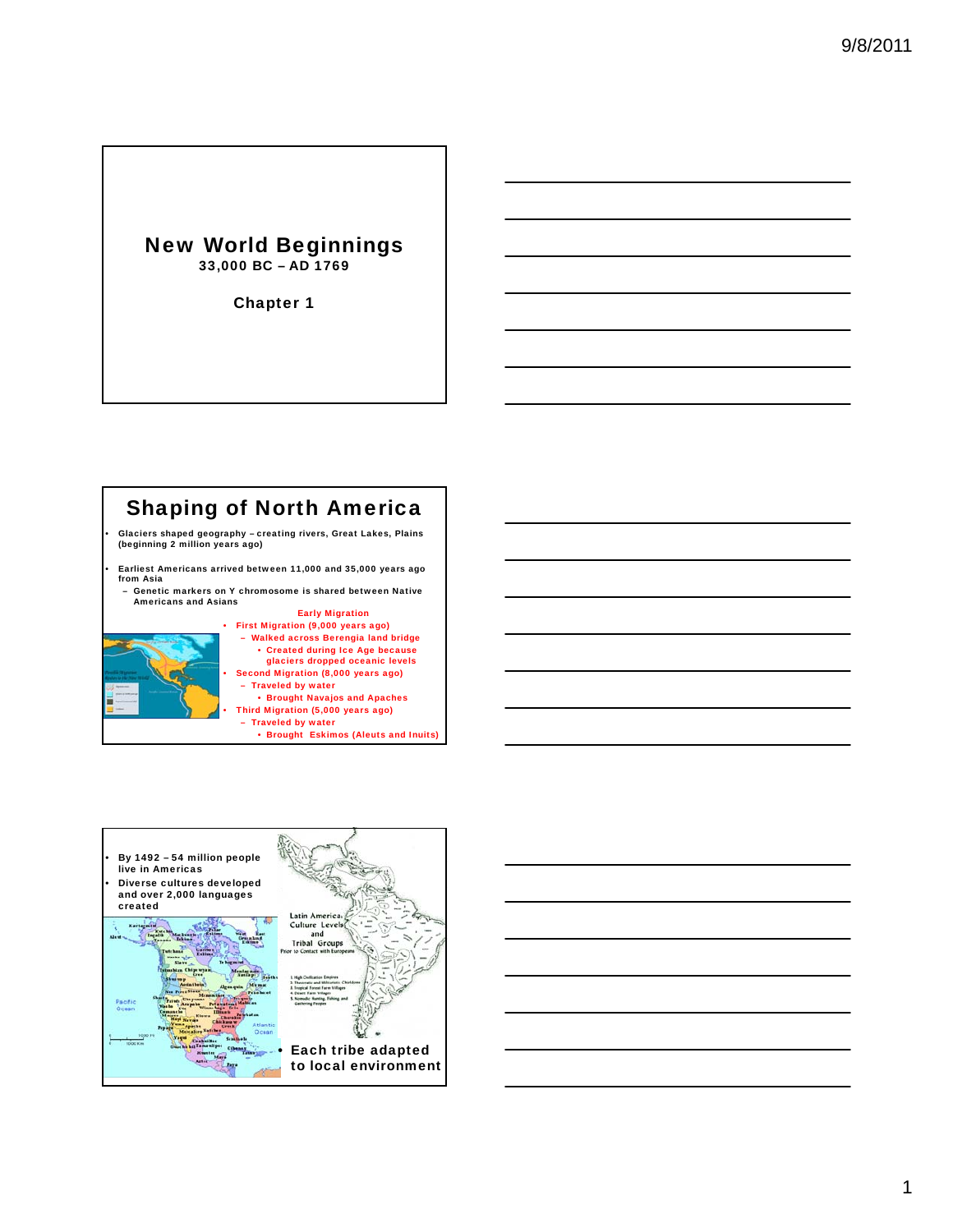### New World Beginnings 33,000 BC – AD 1769

Chapter 1





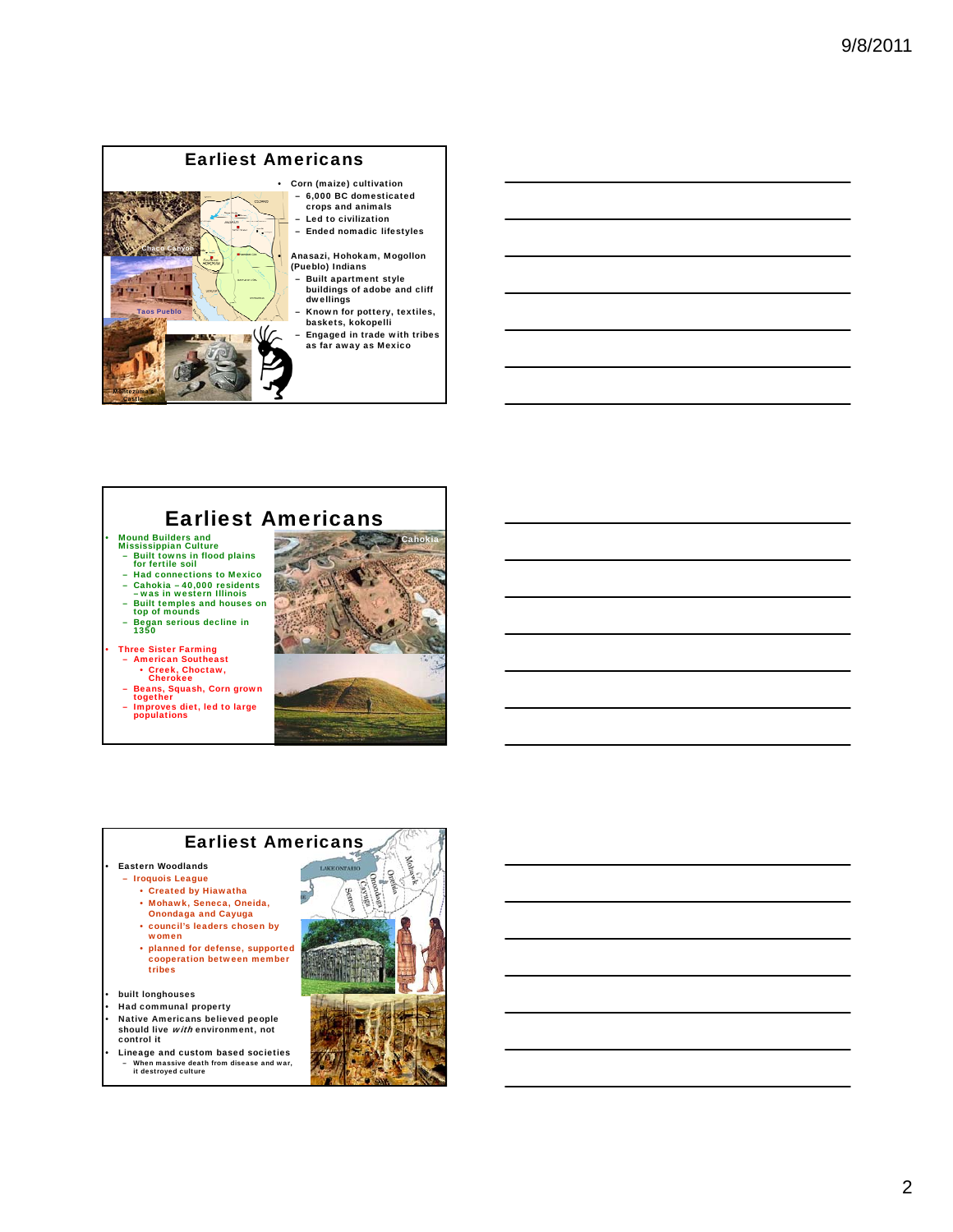

## Earliest Americans

• Mound Builders and Mississippian Culture

- Built towns in flood plains for fertile soil
- Had connections to Mexico
- Cahokia 40,000 residents was in western Illinois
- Built temples and houses on top of mounds
- Began serious decline in 1350

• Three Sister Farming

- American Southeast Creek, Choctaw, Cherokee
- 
- Beans, Squash, Corn grown together
- Improves diet, led to large populations



#### Earliest Americans

• Eastern Woodlands

- Iroquois League • Created by Hiawatha
	- Mohawk, Seneca, Oneida,
	- Onondaga and Cayuga • council's leaders chosen by
	- women
	- planned for defense, supported cooperation between member<br>tribes
- built longhouses
- Had communal property
- Native Americans believed people should live with environment, not control it
- Lineage and custom based societies – When massive death from disease and war, it destroyed culture

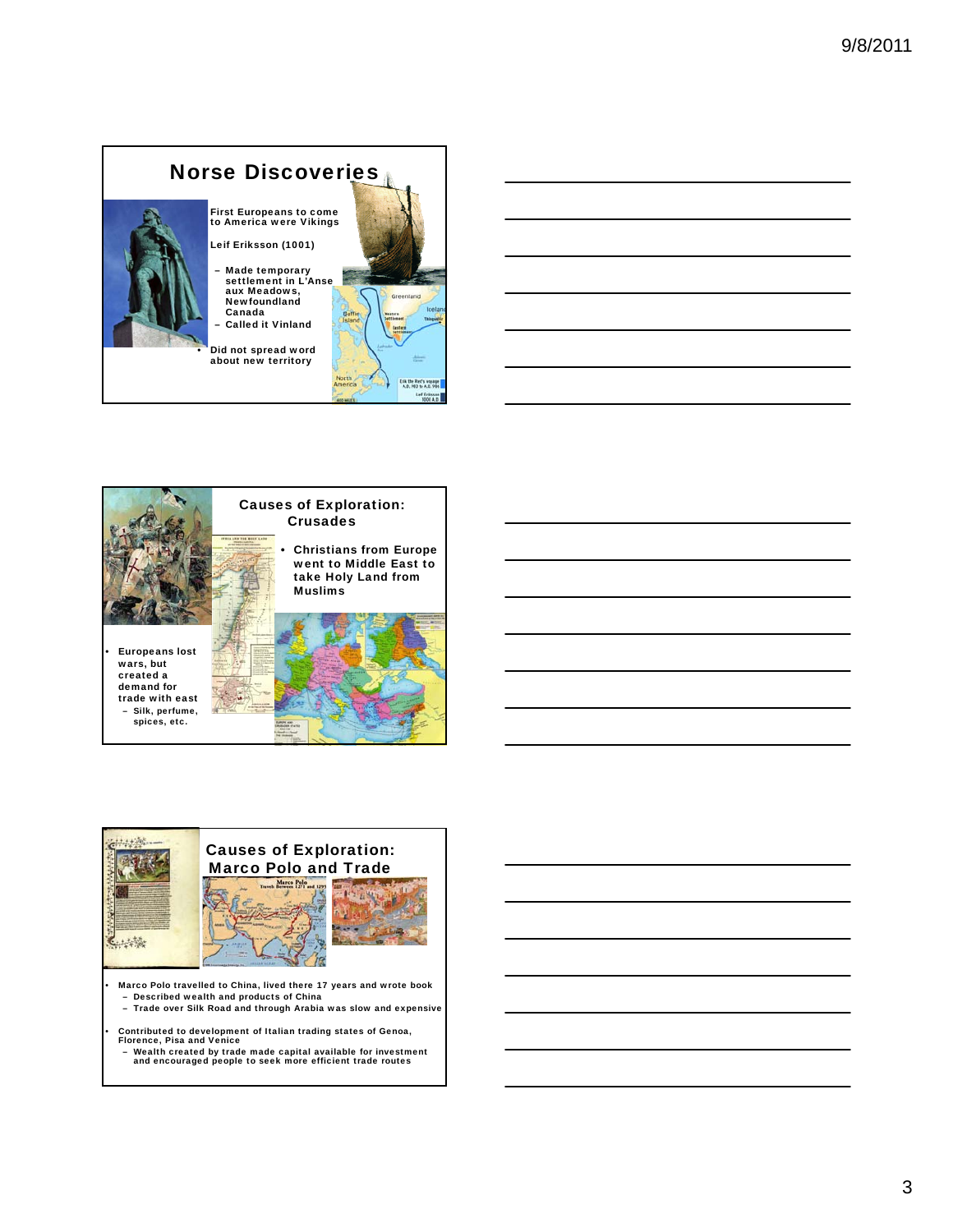





• Marco Polo travelled to China, lived there 17 years and wrote book – Described wealth and products of China

– Trade over Silk Road and through Arabia was slow and expensive

• Contributed to development of Italian trading states of Genoa, Florence, Pisa and Venice

– Wealth created by trade made capital available for investment and encouraged people to seek more efficient trade routes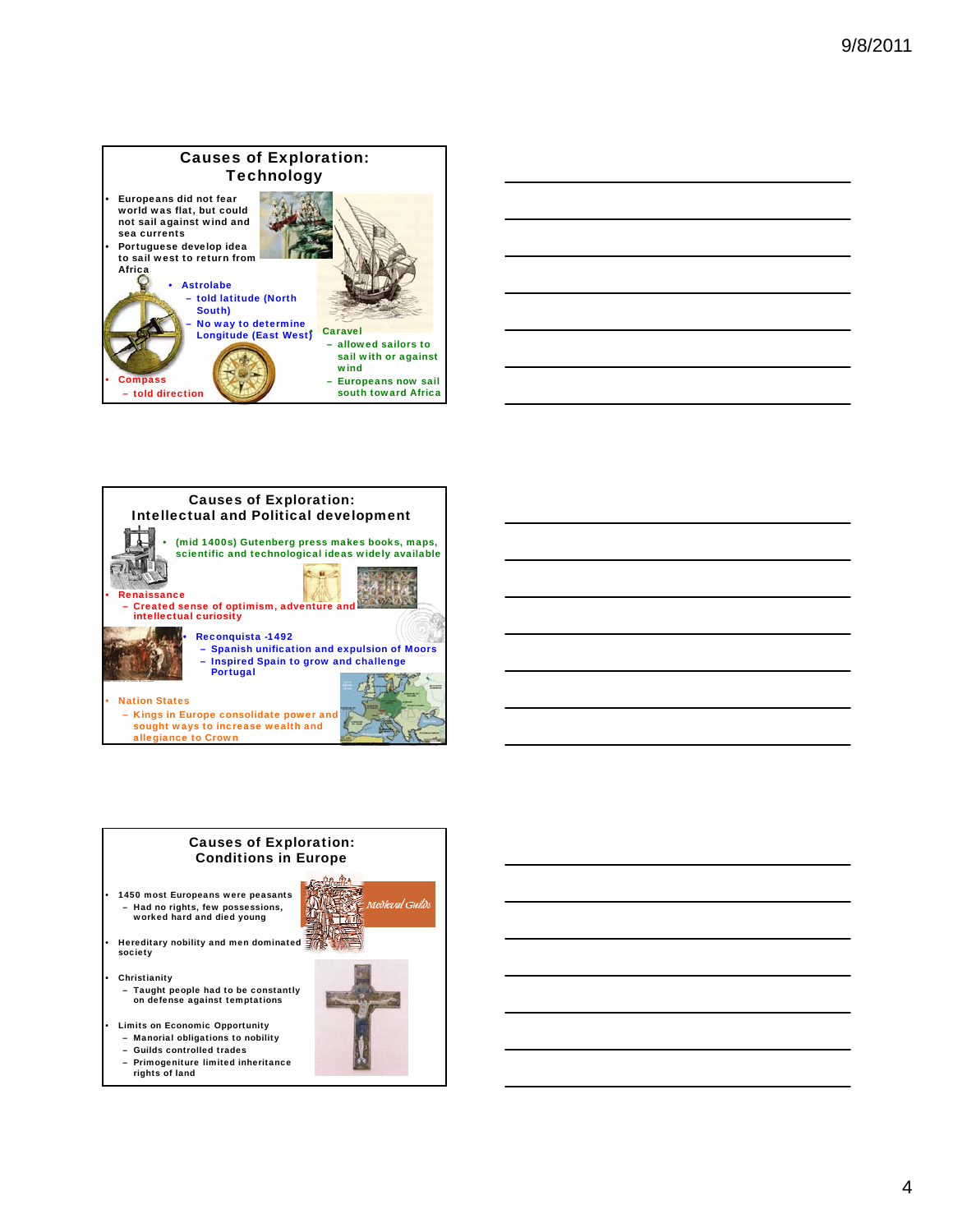







4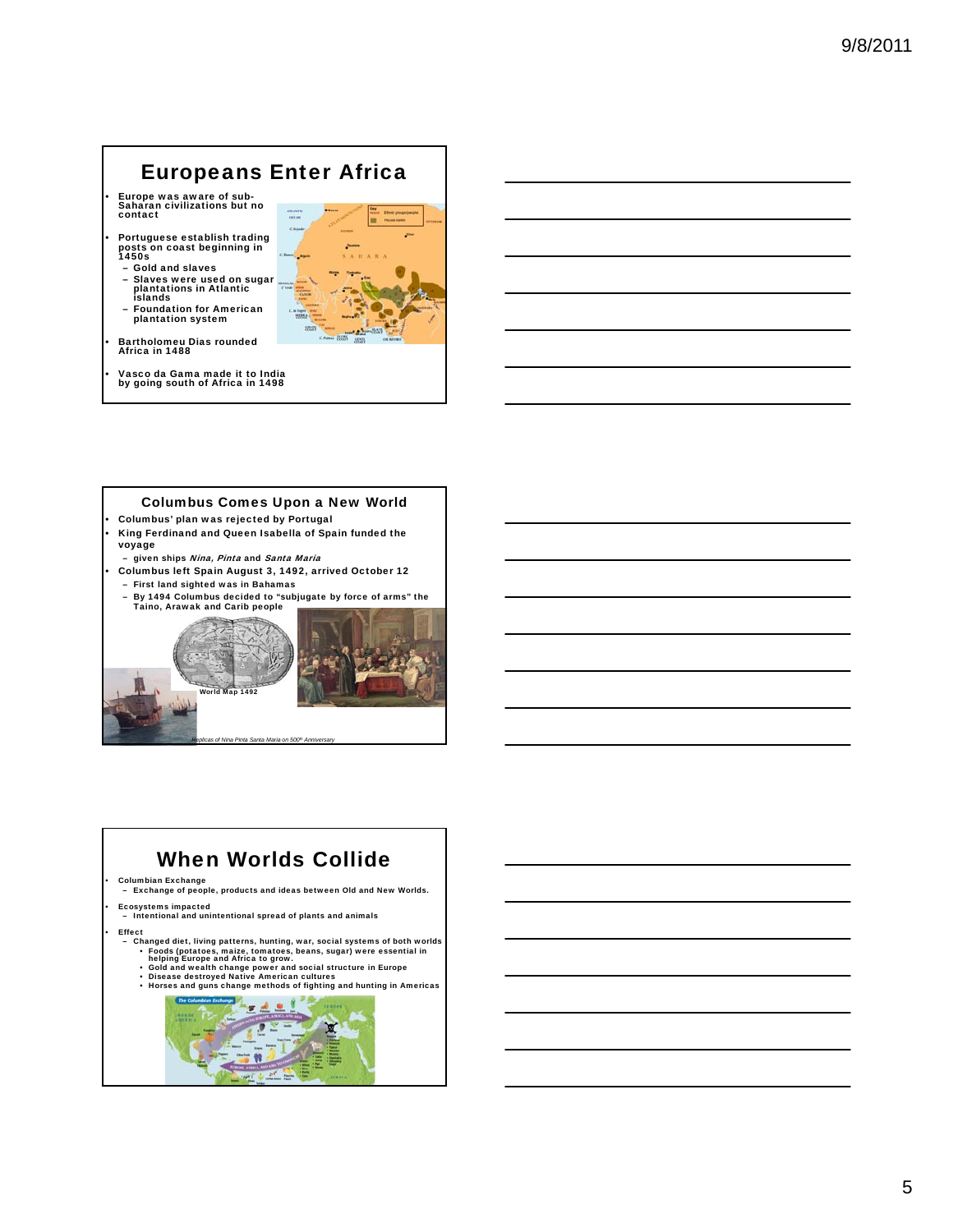# Europeans Enter Africa

- Europe was aware of sub-Saharan civilizations but no contact
- Portuguese establish trading posts on coast beginning in 1450s
	- Gold and slaves<br>– Slaves were use – Slaves were used on sugar plantations in Atlantic islands
	- Foundation for American plantation system
- Bartholomeu Dias rounded Africa in 1488
- Vasco da Gama made it to India by going south of Africa in 1498



#### Columbus Comes Upon a New World

- Columbus' plan was rejected by Portugal • King Ferdinand and Queen Isabella of Spain funded the voyage
- given ships Nina, Pinta and Santa Maria
- Columbus left Spain August 3, 1492, arrived October 12 – First land sighted was in Bahamas
- By 1494 Columbus decided to "subjugate by force of arms" the Taino, Arawak and Carib people



*Replicas of Nina Pinta Santa Maria on 500th Anniversary*

# When Worlds Collide

• Columbian Exchange – Exchange of people, products and ideas between Old and New Worlds.

• Ecosystems impacted – Intentional and unintentional spread of plants and animals

#### **Effect**

- Changed diet, living patterns, hunting, war, social systems of both worlds<br>
Foods (potatoes, maize, tomatoes, beans, sugar) were essential in<br>
helping Europe and Africa to grow.<br>
Cold and wealth change power and social s
	-
	-

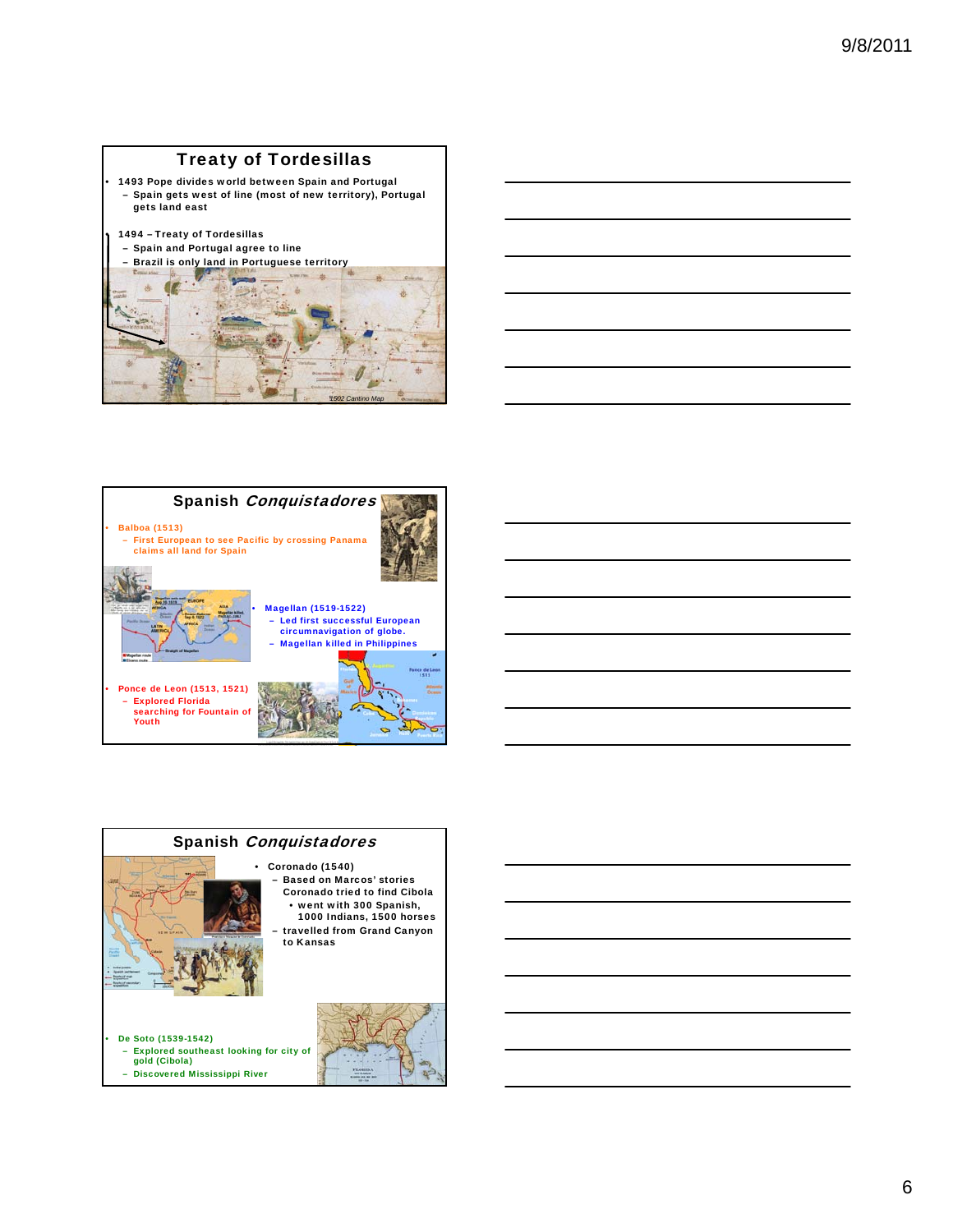## Treaty of Tordesillas

• 1493 Pope divides world between Spain and Portugal – Spain gets west of line (most of new territory), Portugal gets land east

### • 1494 – Treaty of Tordesillas

– Spain and Portugal agree to line







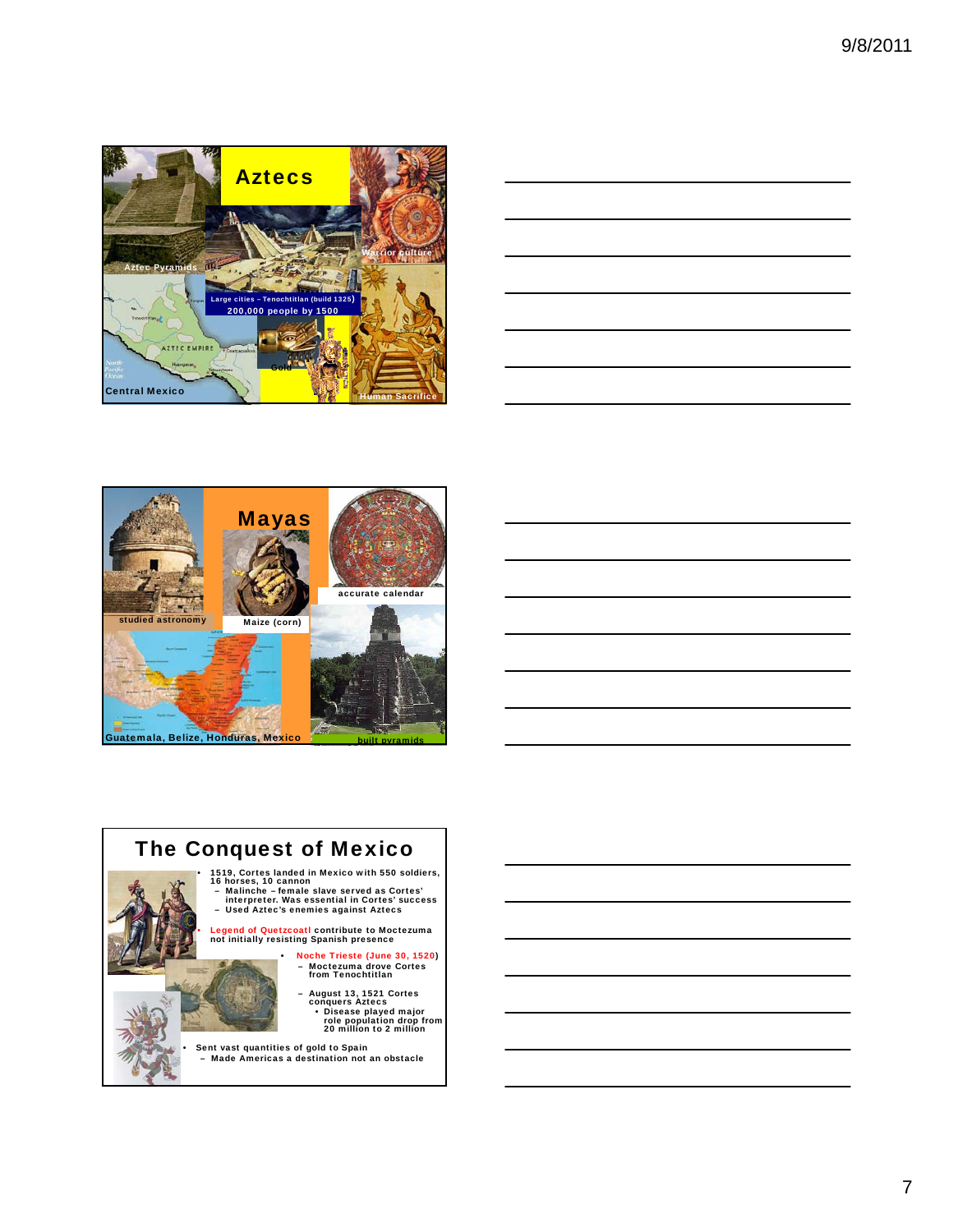

|                                                                                                                      | <u> 1989 - Andrea Santa Andrea Andrea Andrea Andrea Andrea Andrea Andrea Andrea Andrea Andrea Andrea Andrea Andr</u> |  |
|----------------------------------------------------------------------------------------------------------------------|----------------------------------------------------------------------------------------------------------------------|--|
| <u> Andreas Andreas Andreas Andreas Andreas Andreas Andreas Andreas Andreas Andreas Andreas Andreas Andreas Andr</u> |                                                                                                                      |  |
|                                                                                                                      | ,我们也不会有一个人的事情。""我们的人们是不是我们的人,我们也不会有一个人的人,我们也不会有一个人的人,我们也不会有一个人的人,我们也不会有一个人的人,我们也                                     |  |
|                                                                                                                      |                                                                                                                      |  |
|                                                                                                                      |                                                                                                                      |  |





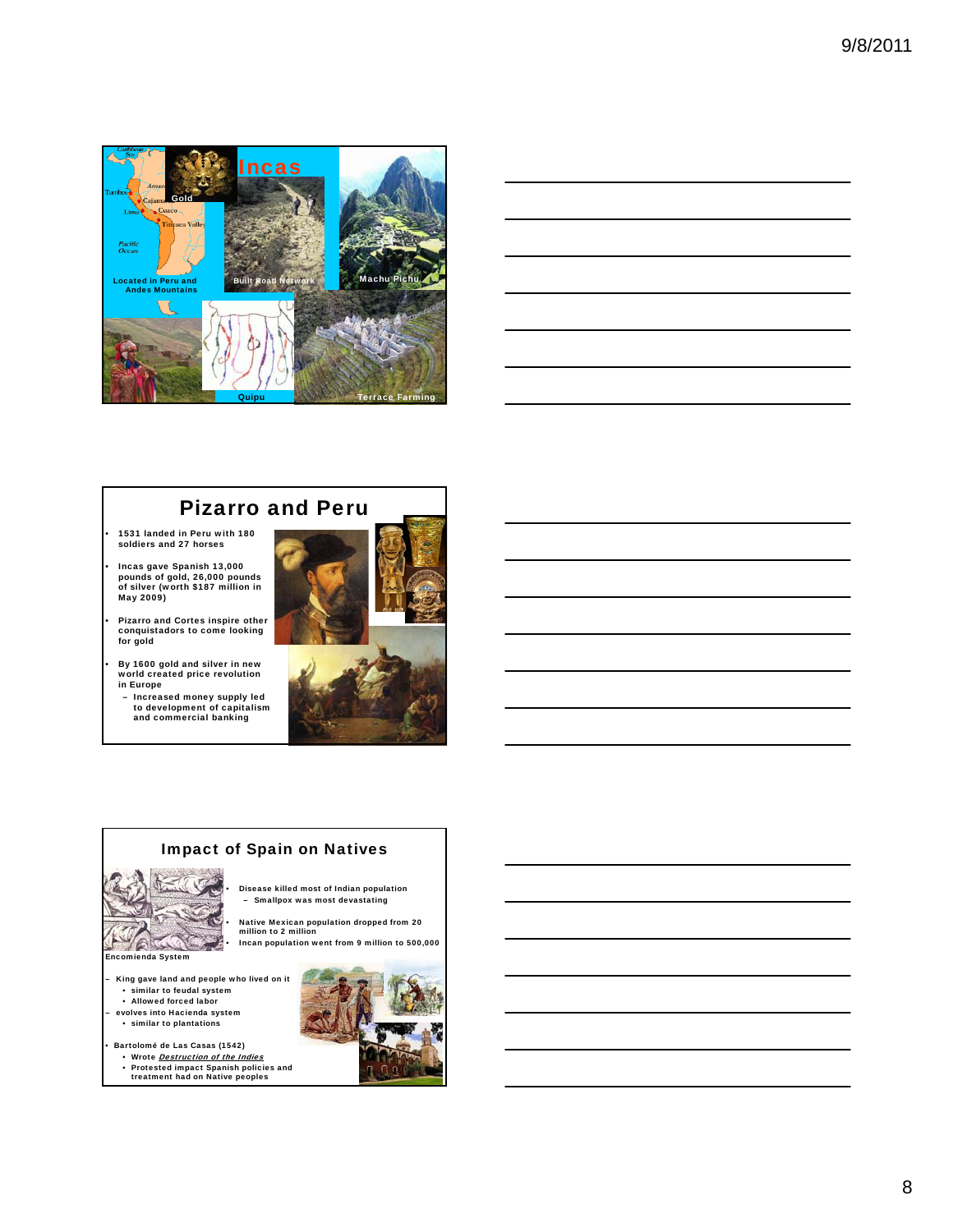



## Pizarro and Peru

- 1531 landed in Peru with 180 soldiers and 27 horses
- Incas gave Spanish 13,000 pounds of gold, 26,000 pounds of silver (worth \$187 million in May 2009)
- Pizarro and Cortes inspire other conquistadors to come looking for gold
- By 1600 gold and silver in new world created price revolution in Europe
	- Increased money supply led to development of capitalism and commercial banking



### Impact of Spain on Natives

• Disease killed most of Indian population – Smallpox was most devastating

• Incan population went from 9 million to 500,000



- King gave land and people who lived on it similar to feudal system
- Allowed forced labor
- evolves into Hacienda system • similar to plantations
- Bartolomé de Las Casas (1542)
- Wrote Destruction of the Indies
- Protested impact Spanish policies and treatment had on Native peoples

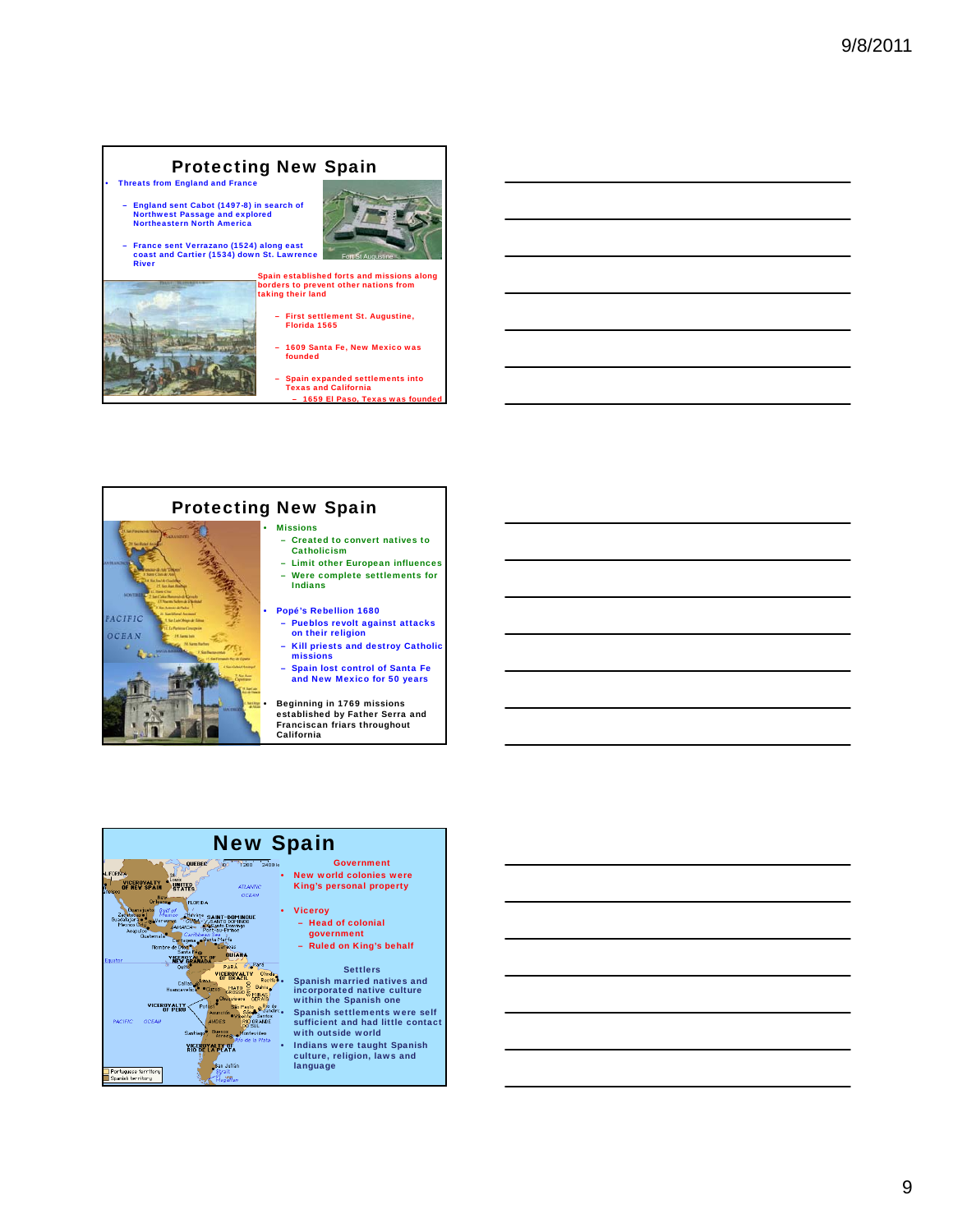#### • Threats from England and France Protecting New Spain

- England sent Cabot (1497-8) in search of Northwest Passage and explored Northeastern North America
- France sent Verrazano (1524) along east coast and Cartier (1534) down St. Lawrence River



Spain established forts and missions along borders to prevent other nations from taking their land

- First settlement St. Augustine, Florida 1565
- 1609 Santa Fe, New Mexico was founded

– Spain expanded settlements into Texas and California 1659 El Paso, Texas was



#### New Spain **QUEBEC New world colonies were** VICEROVALTY A Louis<br>OF NEW SPAIN STATES King's personal property **MONTH TELOPINA** • Viceroy **INT-DOMINGUE**<br>ANTO DOMINGO – Head of colonial government – Ruled on King's behalf **BUTARA**  $\geq$  Pará Settlers VICEROYALTY<br>OF BRAZIL Olinda<br>Recifes **CEROYALTY** Olive<br>MATO Behia<br>MATO Behia<br>GROSSO Behia<br>Chuquisaca GERAIS<br>São Paulo o<sup>Rio</sup> • Spanish married natives and incorporated native culture within the Spanish one • Spanish settlements were self أورا VICEROY ALTY aulo<br>São Al<sup>O</sup>da OCEAN **VDES** sufficient and had little contact **PACIFIC** RIO GR<br>DO SIT Buenos with outside world **Santia KIGEROLALAYA** • Indians were taught Spanish culture, religion, laws and .<br>San Julián languagePortuguese territory<br>Spanish territory trait<br>ListR